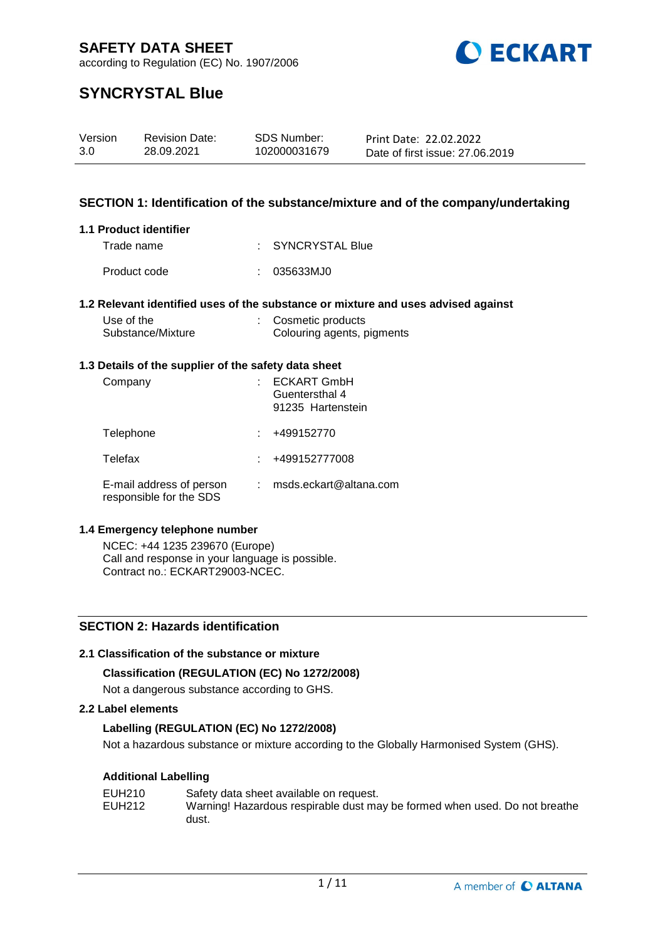

according to Regulation (EC) No. 1907/2006

# **SYNCRYSTAL Blue**

| Version | <b>Revision Date:</b> | SDS Number:  | Print Date: 22.02.2022          |
|---------|-----------------------|--------------|---------------------------------|
| 3.0     | 28.09.2021            | 102000031679 | Date of first issue: 27,06,2019 |

### **SECTION 1: Identification of the substance/mixture and of the company/undertaking**

#### **1.1 Product identifier**

| Trade name   | : SYNCRYSTAL Blue |
|--------------|-------------------|
| Product code | : 035633MJ0       |

#### **1.2 Relevant identified uses of the substance or mixture and uses advised against**

| Use of the        | : Cosmetic products        |
|-------------------|----------------------------|
| Substance/Mixture | Colouring agents, pigments |

#### **1.3 Details of the supplier of the safety data sheet**

| Company                                             | <b>ECKART GmbH</b><br>Guentersthal 4<br>91235 Hartenstein |
|-----------------------------------------------------|-----------------------------------------------------------|
| Telephone                                           | +499152770                                                |
| Telefax                                             | +499152777008                                             |
| E-mail address of person<br>responsible for the SDS | msds.eckart@altana.com                                    |

#### **1.4 Emergency telephone number**

NCEC: +44 1235 239670 (Europe) Call and response in your language is possible. Contract no.: ECKART29003-NCEC.

### **SECTION 2: Hazards identification**

#### **2.1 Classification of the substance or mixture**

#### **Classification (REGULATION (EC) No 1272/2008)**

Not a dangerous substance according to GHS.

#### **2.2 Label elements**

#### **Labelling (REGULATION (EC) No 1272/2008)**

Not a hazardous substance or mixture according to the Globally Harmonised System (GHS).

#### **Additional Labelling**

| EUH210 | Safety data sheet available on request.                                    |
|--------|----------------------------------------------------------------------------|
| EUH212 | Warning! Hazardous respirable dust may be formed when used. Do not breathe |
|        | dust.                                                                      |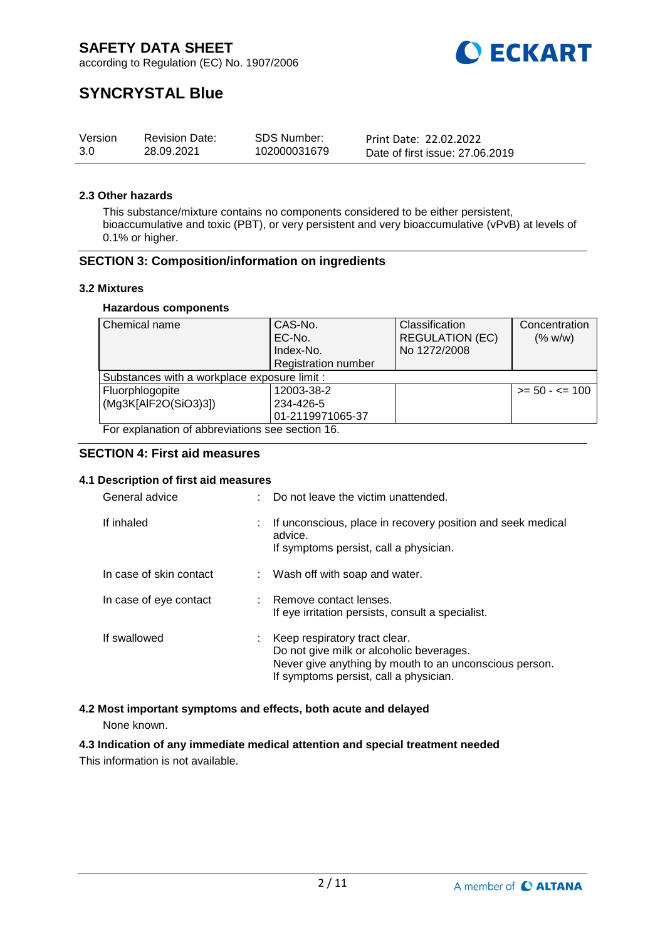

according to Regulation (EC) No. 1907/2006

# **SYNCRYSTAL Blue**

| Version | <b>Revision Date:</b> | SDS Number:  | Print Date: 22.02.2022          |
|---------|-----------------------|--------------|---------------------------------|
| 3.0     | 28.09.2021            | 102000031679 | Date of first issue: 27,06,2019 |

#### **2.3 Other hazards**

This substance/mixture contains no components considered to be either persistent, bioaccumulative and toxic (PBT), or very persistent and very bioaccumulative (vPvB) at levels of 0.1% or higher.

#### **SECTION 3: Composition/information on ingredients**

#### **3.2 Mixtures**

#### **Hazardous components**

| Chemical name                                    | CAS-No.                    | Classification         | Concentration     |  |
|--------------------------------------------------|----------------------------|------------------------|-------------------|--|
|                                                  | EC-No.                     | <b>REGULATION (EC)</b> | (% w/w)           |  |
|                                                  | Index-No.                  | No 1272/2008           |                   |  |
|                                                  | <b>Registration number</b> |                        |                   |  |
| Substances with a workplace exposure limit :     |                            |                        |                   |  |
| Fluorphlogopite                                  | 12003-38-2                 |                        | $>= 50 - 5 = 100$ |  |
| (Mg3K[AlF2O(SiO3)3])                             | 234-426-5                  |                        |                   |  |
|                                                  | 01-2119971065-37           |                        |                   |  |
| For explanation of abbreviations see section 16. |                            |                        |                   |  |

#### **SECTION 4: First aid measures**

#### **4.1 Description of first aid measures**

| General advice          |    | Do not leave the victim unattended.                                                                                                                                           |
|-------------------------|----|-------------------------------------------------------------------------------------------------------------------------------------------------------------------------------|
| If inhaled              |    | If unconscious, place in recovery position and seek medical<br>advice.<br>If symptoms persist, call a physician.                                                              |
| In case of skin contact |    | Wash off with soap and water.                                                                                                                                                 |
| In case of eye contact  |    | : Remove contact lenses.<br>If eye irritation persists, consult a specialist.                                                                                                 |
| If swallowed            | t. | Keep respiratory tract clear.<br>Do not give milk or alcoholic beverages.<br>Never give anything by mouth to an unconscious person.<br>If symptoms persist, call a physician. |

#### **4.2 Most important symptoms and effects, both acute and delayed**

None known.

# **4.3 Indication of any immediate medical attention and special treatment needed**

This information is not available.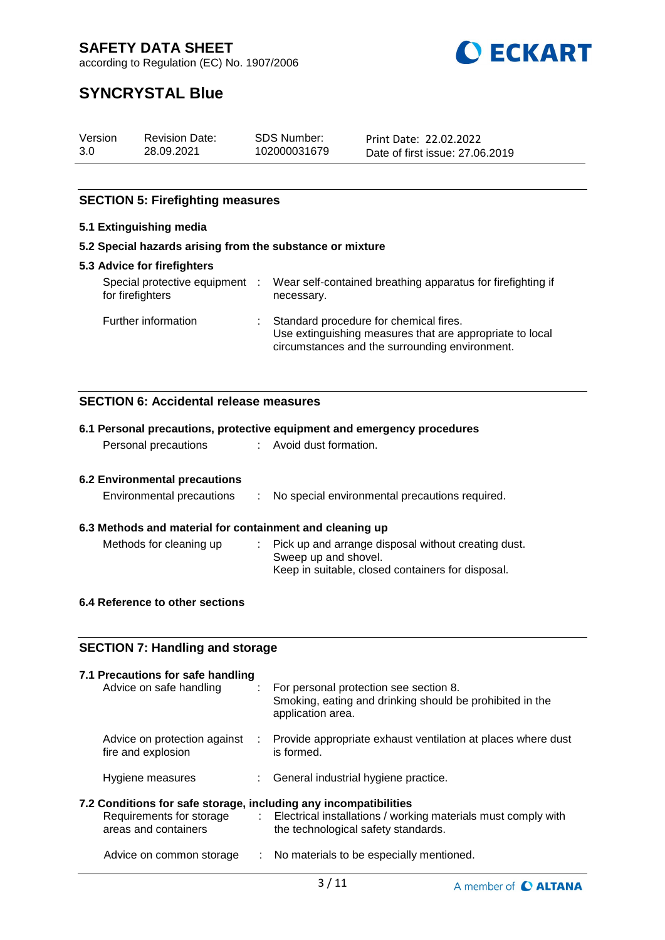**O ECKART** 

according to Regulation (EC) No. 1907/2006

# **SYNCRYSTAL Blue**

| Version | <b>Revision Date:</b> | SDS Number:  | Print Date: 22.02.2022          |
|---------|-----------------------|--------------|---------------------------------|
| 3.0     | 28.09.2021            | 102000031679 | Date of first issue: 27,06,2019 |

### **SECTION 5: Firefighting measures**

### **5.1 Extinguishing media**

#### **5.2 Special hazards arising from the substance or mixture**

| <b>5.3 Advice for firefighters</b>               |     |                                                                                                                                                        |
|--------------------------------------------------|-----|--------------------------------------------------------------------------------------------------------------------------------------------------------|
| Special protective equipment<br>for firefighters | -11 | Wear self-contained breathing apparatus for firefighting if<br>necessary.                                                                              |
| Further information                              |     | : Standard procedure for chemical fires.<br>Use extinguishing measures that are appropriate to local<br>circumstances and the surrounding environment. |

### **SECTION 6: Accidental release measures**

|                                                                  |                  | 6.1 Personal precautions, protective equipment and emergency procedures                                                 |
|------------------------------------------------------------------|------------------|-------------------------------------------------------------------------------------------------------------------------|
| Personal precautions                                             |                  | : Avoid dust formation.                                                                                                 |
|                                                                  |                  |                                                                                                                         |
| <b>6.2 Environmental precautions</b>                             |                  |                                                                                                                         |
| Environmental precautions                                        | $\mathcal{L}$    | No special environmental precautions required.                                                                          |
| 6.3 Methods and material for containment and cleaning up         |                  |                                                                                                                         |
| Methods for cleaning up                                          |                  | Pick up and arrange disposal without creating dust.<br>Sweep up and shovel.                                             |
|                                                                  |                  | Keep in suitable, closed containers for disposal.                                                                       |
| 6.4 Reference to other sections                                  |                  |                                                                                                                         |
|                                                                  |                  |                                                                                                                         |
| <b>SECTION 7: Handling and storage</b>                           |                  |                                                                                                                         |
| 7.1 Precautions for safe handling                                |                  |                                                                                                                         |
| Advice on safe handling                                          |                  | For personal protection see section 8.<br>Smoking, eating and drinking should be prohibited in the<br>application area. |
| Advice on protection against<br>fire and explosion               |                  | : Provide appropriate exhaust ventilation at places where dust<br>is formed.                                            |
| Hygiene measures                                                 | t.               | General industrial hygiene practice.                                                                                    |
| 7.2 Conditions for safe storage, including any incompatibilities |                  |                                                                                                                         |
| Requirements for storage<br>areas and containers                 | $\mathbb{Z}^n$ . | Electrical installations / working materials must comply with<br>the technological safety standards.                    |
| Advice on common storage                                         |                  | No materials to be especially mentioned.                                                                                |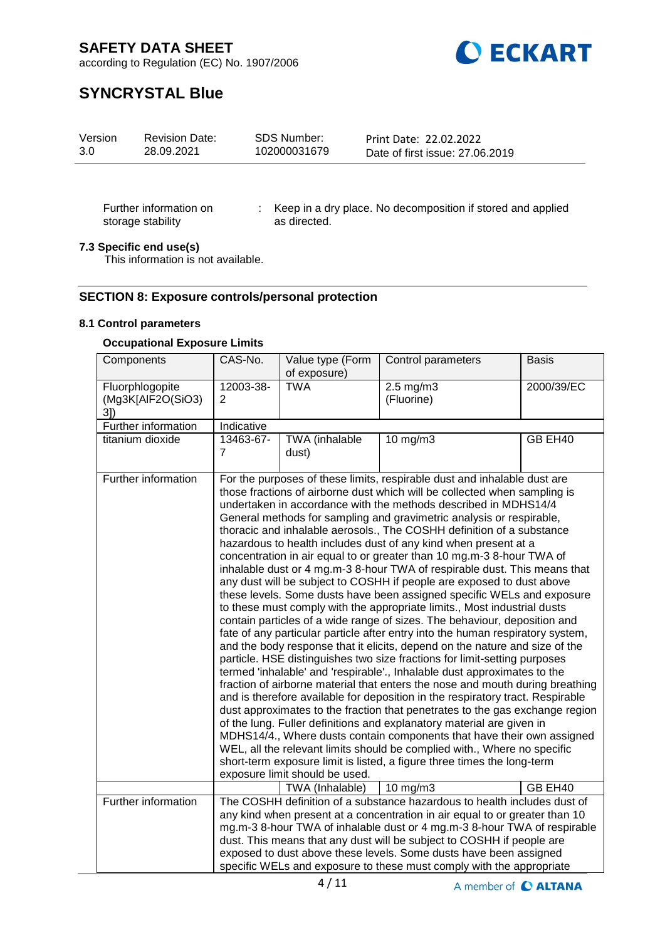

according to Regulation (EC) No. 1907/2006

# **SYNCRYSTAL Blue**

| SDS Number:<br>Version<br><b>Revision Date:</b><br>102000031679<br>28.09.2021<br>3.0 | Print Date: 22.02.2022<br>Date of first issue: 27,06,2019 |
|--------------------------------------------------------------------------------------|-----------------------------------------------------------|
|--------------------------------------------------------------------------------------|-----------------------------------------------------------|

Further information on storage stability

: Keep in a dry place. No decomposition if stored and applied as directed.

#### **7.3 Specific end use(s)**

This information is not available.

#### **SECTION 8: Exposure controls/personal protection**

#### **8.1 Control parameters**

#### **Occupational Exposure Limits**

| Components                                 | CAS-No.        | Value type (Form<br>of exposure)                  | Control parameters                                                                                                                                                                                                                                                                                                                                                                                                                                                                                                                                                                                                                                                                                                                                                                                                                                                                                                                                                                                                                                                                                                                                                                                                                                                                                                                                                                                                                                                                                                                                                                                                                                                                                                                                                                                                   | <b>Basis</b> |
|--------------------------------------------|----------------|---------------------------------------------------|----------------------------------------------------------------------------------------------------------------------------------------------------------------------------------------------------------------------------------------------------------------------------------------------------------------------------------------------------------------------------------------------------------------------------------------------------------------------------------------------------------------------------------------------------------------------------------------------------------------------------------------------------------------------------------------------------------------------------------------------------------------------------------------------------------------------------------------------------------------------------------------------------------------------------------------------------------------------------------------------------------------------------------------------------------------------------------------------------------------------------------------------------------------------------------------------------------------------------------------------------------------------------------------------------------------------------------------------------------------------------------------------------------------------------------------------------------------------------------------------------------------------------------------------------------------------------------------------------------------------------------------------------------------------------------------------------------------------------------------------------------------------------------------------------------------------|--------------|
| Fluorphlogopite<br>(Mg3K[AlF2O(SiO3)<br>3] | 12003-38-<br>2 | <b>TWA</b>                                        | $2.5$ mg/m $3$<br>(Fluorine)                                                                                                                                                                                                                                                                                                                                                                                                                                                                                                                                                                                                                                                                                                                                                                                                                                                                                                                                                                                                                                                                                                                                                                                                                                                                                                                                                                                                                                                                                                                                                                                                                                                                                                                                                                                         | 2000/39/EC   |
| Further information                        | Indicative     |                                                   |                                                                                                                                                                                                                                                                                                                                                                                                                                                                                                                                                                                                                                                                                                                                                                                                                                                                                                                                                                                                                                                                                                                                                                                                                                                                                                                                                                                                                                                                                                                                                                                                                                                                                                                                                                                                                      |              |
| titanium dioxide                           | 13463-67-<br>7 | TWA (inhalable<br>dust)                           | 10 mg/m3                                                                                                                                                                                                                                                                                                                                                                                                                                                                                                                                                                                                                                                                                                                                                                                                                                                                                                                                                                                                                                                                                                                                                                                                                                                                                                                                                                                                                                                                                                                                                                                                                                                                                                                                                                                                             | GB EH40      |
| Further information                        |                | exposure limit should be used.<br>TWA (Inhalable) | For the purposes of these limits, respirable dust and inhalable dust are<br>those fractions of airborne dust which will be collected when sampling is<br>undertaken in accordance with the methods described in MDHS14/4<br>General methods for sampling and gravimetric analysis or respirable,<br>thoracic and inhalable aerosols., The COSHH definition of a substance<br>hazardous to health includes dust of any kind when present at a<br>concentration in air equal to or greater than 10 mg.m-3 8-hour TWA of<br>inhalable dust or 4 mg.m-3 8-hour TWA of respirable dust. This means that<br>any dust will be subject to COSHH if people are exposed to dust above<br>these levels. Some dusts have been assigned specific WELs and exposure<br>to these must comply with the appropriate limits., Most industrial dusts<br>contain particles of a wide range of sizes. The behaviour, deposition and<br>fate of any particular particle after entry into the human respiratory system,<br>and the body response that it elicits, depend on the nature and size of the<br>particle. HSE distinguishes two size fractions for limit-setting purposes<br>termed 'inhalable' and 'respirable'., Inhalable dust approximates to the<br>fraction of airborne material that enters the nose and mouth during breathing<br>and is therefore available for deposition in the respiratory tract. Respirable<br>dust approximates to the fraction that penetrates to the gas exchange region<br>of the lung. Fuller definitions and explanatory material are given in<br>MDHS14/4., Where dusts contain components that have their own assigned<br>WEL, all the relevant limits should be complied with., Where no specific<br>short-term exposure limit is listed, a figure three times the long-term<br>10 mg/m $3$ | GB EH40      |
| Further information                        |                |                                                   | The COSHH definition of a substance hazardous to health includes dust of<br>any kind when present at a concentration in air equal to or greater than 10<br>mg.m-3 8-hour TWA of inhalable dust or 4 mg.m-3 8-hour TWA of respirable<br>dust. This means that any dust will be subject to COSHH if people are<br>exposed to dust above these levels. Some dusts have been assigned<br>specific WELs and exposure to these must comply with the appropriate                                                                                                                                                                                                                                                                                                                                                                                                                                                                                                                                                                                                                                                                                                                                                                                                                                                                                                                                                                                                                                                                                                                                                                                                                                                                                                                                                            |              |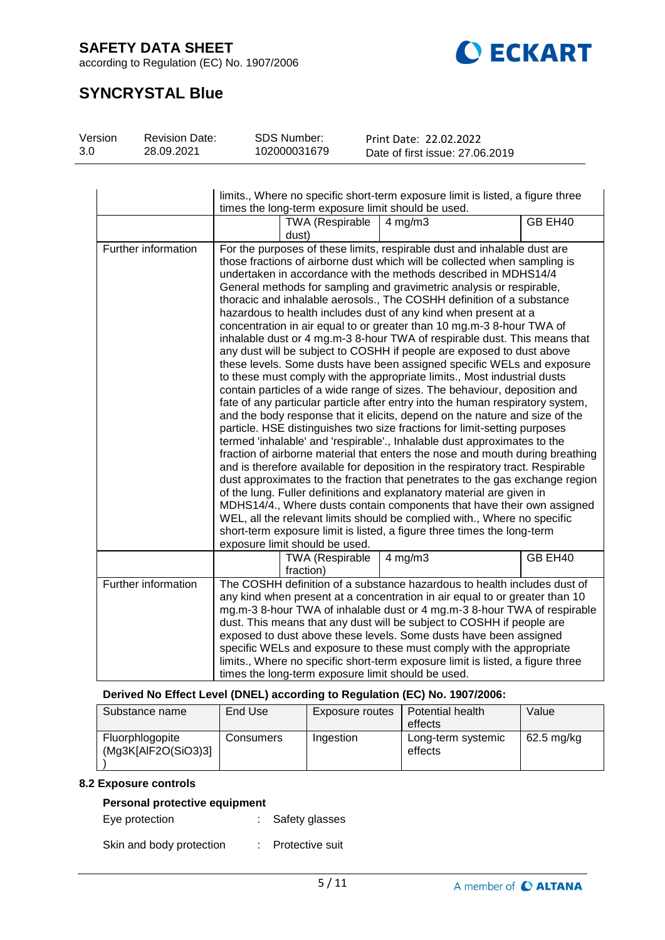according to Regulation (EC) No. 1907/2006



# **SYNCRYSTAL Blue**

| Version | <b>Revision Date:</b> | <b>SDS Number:</b> | Print Date: 22.02.2022          |
|---------|-----------------------|--------------------|---------------------------------|
| 3.0     | 28.09.2021            | 102000031679       | Date of first issue: 27,06,2019 |

|                     | limits., Where no specific short-term exposure limit is listed, a figure three<br>times the long-term exposure limit should be used.                                                                                                                                                                                                                                                                                                                                                                                                                                                              |                                     |                                                                                                                                                                                                                                                                                                                                                                                                                                                                                                                                                                                                                                                                                                                                                                                                                                                                                                                                                                                                                                                                                                                                                                                                                                                                                                                                                                                                                                                                                                                                                                                                                                                                                                                                                                                                       |         |  |
|---------------------|---------------------------------------------------------------------------------------------------------------------------------------------------------------------------------------------------------------------------------------------------------------------------------------------------------------------------------------------------------------------------------------------------------------------------------------------------------------------------------------------------------------------------------------------------------------------------------------------------|-------------------------------------|-------------------------------------------------------------------------------------------------------------------------------------------------------------------------------------------------------------------------------------------------------------------------------------------------------------------------------------------------------------------------------------------------------------------------------------------------------------------------------------------------------------------------------------------------------------------------------------------------------------------------------------------------------------------------------------------------------------------------------------------------------------------------------------------------------------------------------------------------------------------------------------------------------------------------------------------------------------------------------------------------------------------------------------------------------------------------------------------------------------------------------------------------------------------------------------------------------------------------------------------------------------------------------------------------------------------------------------------------------------------------------------------------------------------------------------------------------------------------------------------------------------------------------------------------------------------------------------------------------------------------------------------------------------------------------------------------------------------------------------------------------------------------------------------------------|---------|--|
|                     |                                                                                                                                                                                                                                                                                                                                                                                                                                                                                                                                                                                                   | <b>TWA (Respirable</b><br>dust)     | $4$ mg/m $3$                                                                                                                                                                                                                                                                                                                                                                                                                                                                                                                                                                                                                                                                                                                                                                                                                                                                                                                                                                                                                                                                                                                                                                                                                                                                                                                                                                                                                                                                                                                                                                                                                                                                                                                                                                                          | GB EH40 |  |
| Further information |                                                                                                                                                                                                                                                                                                                                                                                                                                                                                                                                                                                                   | exposure limit should be used.      | For the purposes of these limits, respirable dust and inhalable dust are<br>those fractions of airborne dust which will be collected when sampling is<br>undertaken in accordance with the methods described in MDHS14/4<br>General methods for sampling and gravimetric analysis or respirable,<br>thoracic and inhalable aerosols., The COSHH definition of a substance<br>hazardous to health includes dust of any kind when present at a<br>concentration in air equal to or greater than 10 mg.m-3 8-hour TWA of<br>inhalable dust or 4 mg.m-3 8-hour TWA of respirable dust. This means that<br>any dust will be subject to COSHH if people are exposed to dust above<br>these levels. Some dusts have been assigned specific WELs and exposure<br>to these must comply with the appropriate limits., Most industrial dusts<br>contain particles of a wide range of sizes. The behaviour, deposition and<br>fate of any particular particle after entry into the human respiratory system,<br>and the body response that it elicits, depend on the nature and size of the<br>particle. HSE distinguishes two size fractions for limit-setting purposes<br>termed 'inhalable' and 'respirable'., Inhalable dust approximates to the<br>fraction of airborne material that enters the nose and mouth during breathing<br>and is therefore available for deposition in the respiratory tract. Respirable<br>dust approximates to the fraction that penetrates to the gas exchange region<br>of the lung. Fuller definitions and explanatory material are given in<br>MDHS14/4., Where dusts contain components that have their own assigned<br>WEL, all the relevant limits should be complied with., Where no specific<br>short-term exposure limit is listed, a figure three times the long-term |         |  |
|                     |                                                                                                                                                                                                                                                                                                                                                                                                                                                                                                                                                                                                   | <b>TWA (Respirable</b><br>fraction) | $4$ mg/m $3$                                                                                                                                                                                                                                                                                                                                                                                                                                                                                                                                                                                                                                                                                                                                                                                                                                                                                                                                                                                                                                                                                                                                                                                                                                                                                                                                                                                                                                                                                                                                                                                                                                                                                                                                                                                          | GB EH40 |  |
| Further information | The COSHH definition of a substance hazardous to health includes dust of<br>any kind when present at a concentration in air equal to or greater than 10<br>mg.m-3 8-hour TWA of inhalable dust or 4 mg.m-3 8-hour TWA of respirable<br>dust. This means that any dust will be subject to COSHH if people are<br>exposed to dust above these levels. Some dusts have been assigned<br>specific WELs and exposure to these must comply with the appropriate<br>limits., Where no specific short-term exposure limit is listed, a figure three<br>times the long-term exposure limit should be used. |                                     |                                                                                                                                                                                                                                                                                                                                                                                                                                                                                                                                                                                                                                                                                                                                                                                                                                                                                                                                                                                                                                                                                                                                                                                                                                                                                                                                                                                                                                                                                                                                                                                                                                                                                                                                                                                                       |         |  |

#### **Derived No Effect Level (DNEL) according to Regulation (EC) No. 1907/2006:**

| Substance name                         | End Use   | Exposure routes | Potential health<br>effects   | Value      |
|----------------------------------------|-----------|-----------------|-------------------------------|------------|
| Fluorphlogopite<br>(Mg3K[AlF2O(SiO3)3] | Consumers | Ingestion       | Long-term systemic<br>effects | 62.5 mg/kg |

#### **8.2 Exposure controls**

### **Personal protective equipment**

Eye protection : Safety glasses

Skin and body protection : Protective suit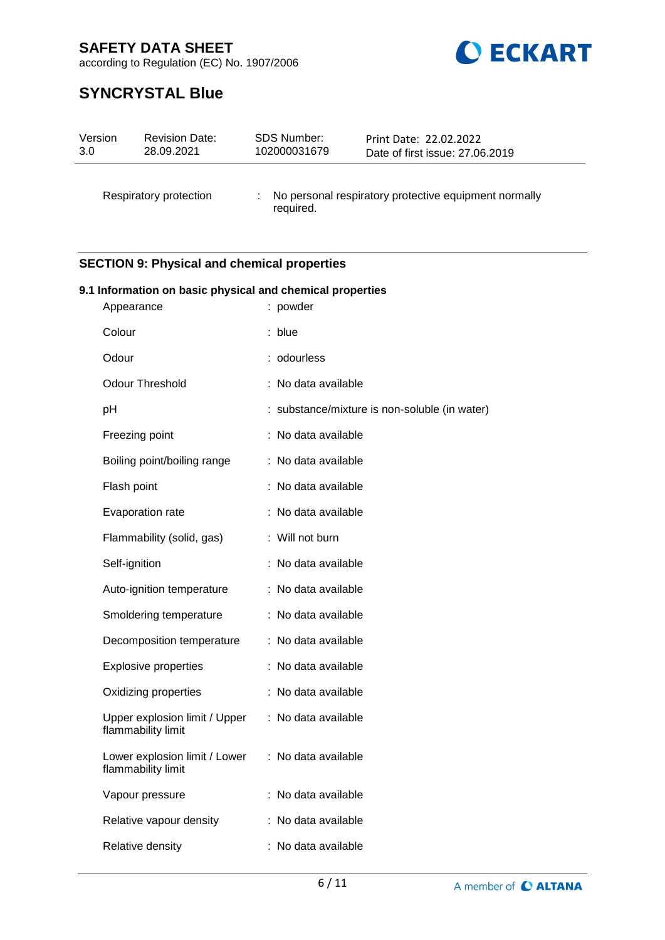

according to Regulation (EC) No. 1907/2006

# **SYNCRYSTAL Blue**

| Version | <b>Revision Date:</b>  | <b>SDS Number:</b> | Print Date: 22.02.2022                                |
|---------|------------------------|--------------------|-------------------------------------------------------|
| 3.0     | 28.09.2021             | 102000031679       | Date of first issue: 27.06.2019                       |
|         | Respiratory protection | required.          | No personal respiratory protective equipment normally |

## **SECTION 9: Physical and chemical properties**

| 9.1 Information on basic physical and chemical properties<br>Appearance | : powder                                      |
|-------------------------------------------------------------------------|-----------------------------------------------|
|                                                                         |                                               |
| Colour                                                                  | : blue                                        |
| Odour                                                                   | : odourless                                   |
| <b>Odour Threshold</b>                                                  | : No data available                           |
| pH                                                                      | : substance/mixture is non-soluble (in water) |
| Freezing point                                                          | : No data available                           |
| Boiling point/boiling range                                             | : No data available                           |
| Flash point                                                             | : No data available                           |
| Evaporation rate                                                        | : No data available                           |
| Flammability (solid, gas)                                               | : Will not burn                               |
| Self-ignition                                                           | : No data available                           |
| Auto-ignition temperature                                               | : No data available                           |
| Smoldering temperature                                                  | : No data available                           |
| Decomposition temperature                                               | : No data available                           |
| <b>Explosive properties</b>                                             | : No data available                           |
| Oxidizing properties                                                    | : No data available                           |
| Upper explosion limit / Upper<br>flammability limit                     | : No data available                           |
| Lower explosion limit / Lower<br>flammability limit                     | : No data available                           |
| Vapour pressure                                                         | : No data available                           |
| Relative vapour density                                                 | : No data available                           |
| Relative density                                                        | : No data available                           |
|                                                                         |                                               |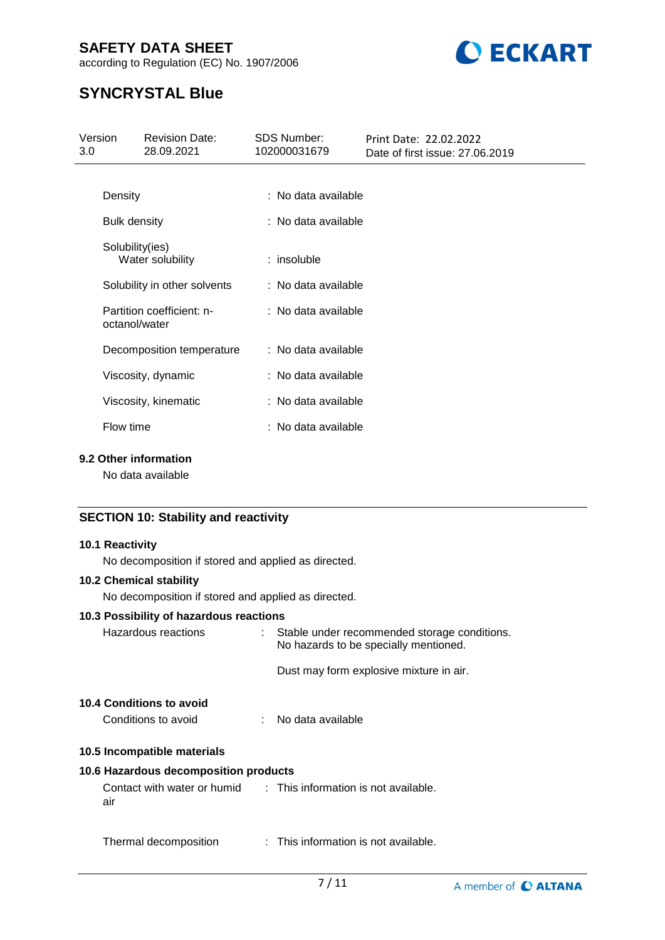according to Regulation (EC) No. 1907/2006



# **SYNCRYSTAL Blue**

| Version<br>3.0      | <b>Revision Date:</b><br>28.09.2021 | <b>SDS Number:</b><br>102000031679 | Print Date: 22.02.2022<br>Date of first issue: 27.06.2019 |
|---------------------|-------------------------------------|------------------------------------|-----------------------------------------------------------|
|                     |                                     |                                    |                                                           |
| Density             |                                     | : No data available                |                                                           |
| <b>Bulk density</b> |                                     | : No data available                |                                                           |
| Solubility(ies)     | Water solubility                    | $:$ insoluble                      |                                                           |
|                     | Solubility in other solvents        | : No data available                |                                                           |
| octanol/water       | Partition coefficient: n-           | : No data available                |                                                           |
|                     | Decomposition temperature           | : No data available                |                                                           |
|                     | Viscosity, dynamic                  | : No data available                |                                                           |
|                     | Viscosity, kinematic                | : No data available                |                                                           |
| Flow time           |                                     | : No data available                |                                                           |
|                     |                                     |                                    |                                                           |

### **9.2 Other information**

No data available

### **SECTION 10: Stability and reactivity**

#### **10.1 Reactivity**

No decomposition if stored and applied as directed.

#### **10.2 Chemical stability**

No decomposition if stored and applied as directed.

#### **10.3 Possibility of hazardous reactions**

| Hazardous reactions                             | : Stable under recommended storage conditions.<br>No hazards to be specially mentioned. |
|-------------------------------------------------|-----------------------------------------------------------------------------------------|
|                                                 | Dust may form explosive mixture in air.                                                 |
| 10.4 Conditions to avoid<br>Conditions to avoid | No data available                                                                       |
| 10.5 Incompatible materials                     |                                                                                         |

### **10.6 Hazardous decomposition products**

| Contact with water or humid | : This information is not available. |
|-----------------------------|--------------------------------------|
| air                         |                                      |

Thermal decomposition : This information is not available.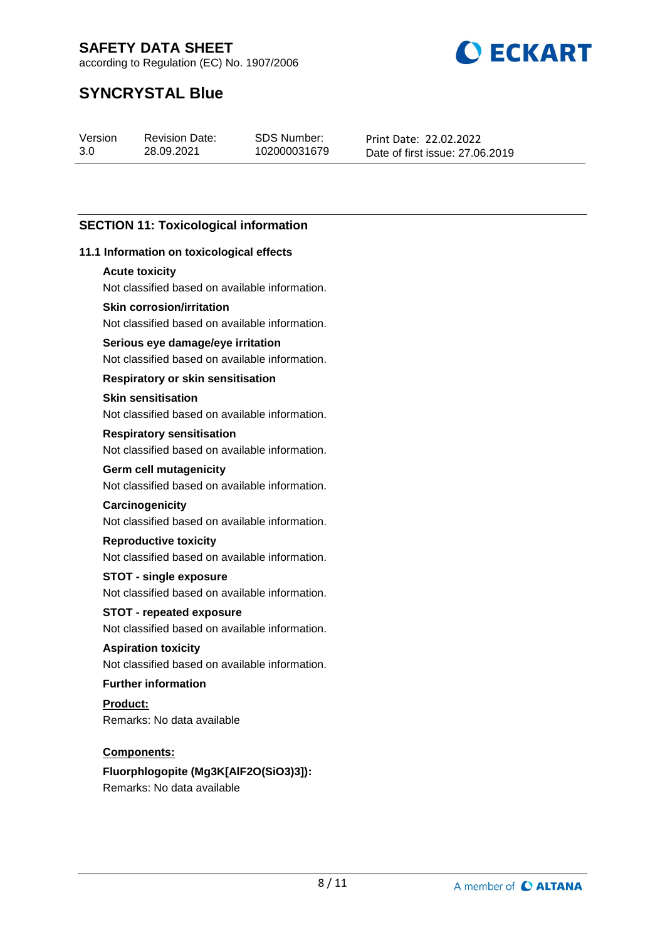according to Regulation (EC) No. 1907/2006



# **SYNCRYSTAL Blue**

Version 3.0

Revision Date: 28.09.2021

SDS Number: 102000031679 Print Date: 22.02.2022 Date of first issue: 27.06.2019

### **SECTION 11: Toxicological information**

#### **11.1 Information on toxicological effects**

#### **Acute toxicity**

Not classified based on available information.

#### **Skin corrosion/irritation**

Not classified based on available information.

#### **Serious eye damage/eye irritation**

Not classified based on available information.

#### **Respiratory or skin sensitisation**

#### **Skin sensitisation**

Not classified based on available information.

#### **Respiratory sensitisation**

Not classified based on available information.

### **Germ cell mutagenicity**

Not classified based on available information.

### **Carcinogenicity**

Not classified based on available information.

#### **Reproductive toxicity**

Not classified based on available information.

#### **STOT - single exposure**

Not classified based on available information.

# **STOT - repeated exposure**

Not classified based on available information.

### **Aspiration toxicity**

Not classified based on available information.

### **Further information**

**Product:** Remarks: No data available

#### **Components:**

### **Fluorphlogopite (Mg3K[AlF2O(SiO3)3]):** Remarks: No data available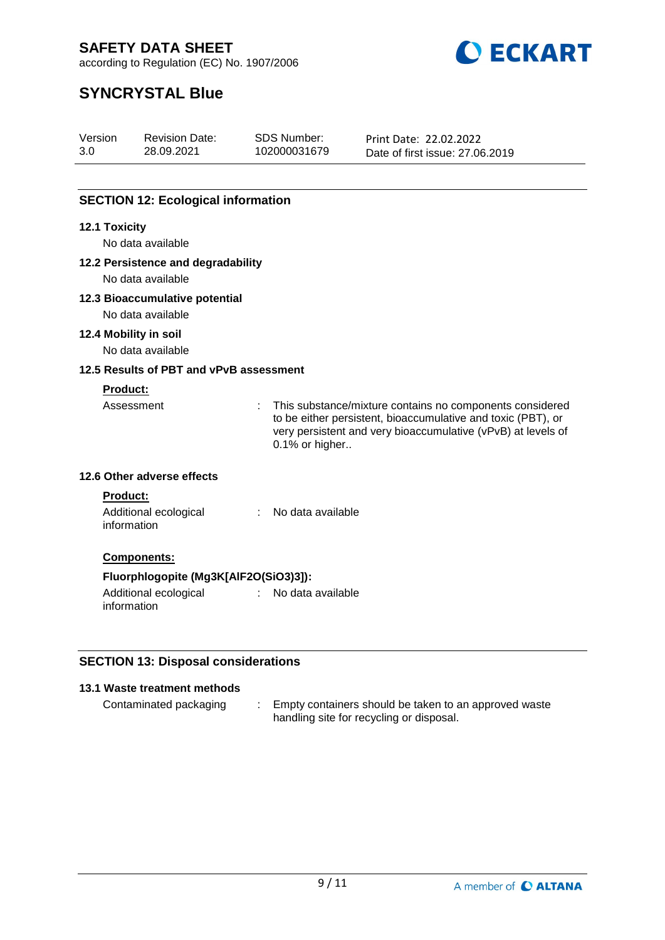

according to Regulation (EC) No. 1907/2006

# **SYNCRYSTAL Blue**

| Version | <b>Revision Date:</b> | SDS Number:  | Print Date: 22.02.2022          |
|---------|-----------------------|--------------|---------------------------------|
| 3.0     | 28.09.2021            | 102000031679 | Date of first issue: 27,06,2019 |

### **SECTION 12: Ecological information**

#### **12.1 Toxicity**

No data available

#### **12.2 Persistence and degradability**

No data available

#### **12.3 Bioaccumulative potential**

No data available

#### **12.4 Mobility in soil**

No data available

#### **12.5 Results of PBT and vPvB assessment**

#### **Product:**

Assessment : This substance/mixture contains no components considered to be either persistent, bioaccumulative and toxic (PBT), or very persistent and very bioaccumulative (vPvB) at levels of 0.1% or higher..

#### **12.6 Other adverse effects**

#### **Product:**

Additional ecological information : No data available

#### **Components:**

#### **Fluorphlogopite (Mg3K[AlF2O(SiO3)3]):**

Additional ecological information : No data available

### **SECTION 13: Disposal considerations**

### **13.1 Waste treatment methods**

Contaminated packaging : Empty containers should be taken to an approved waste handling site for recycling or disposal.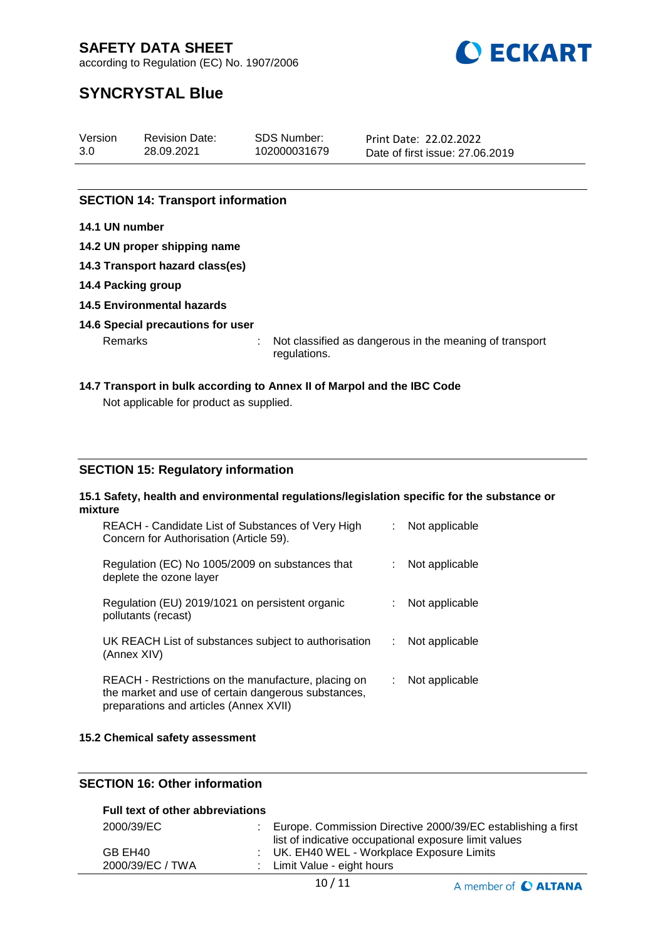



# according to Regulation (EC) No. 1907/2006

# **SYNCRYSTAL Blue**

| Version | <b>Revision Date:</b> | SDS Number:  | Print Date: 22.02.2022          |
|---------|-----------------------|--------------|---------------------------------|
| 3.0     | 28.09.2021            | 102000031679 | Date of first issue: 27,06,2019 |
|         |                       |              |                                 |

### **SECTION 14: Transport information**

#### **14.1 UN number**

- **14.2 UN proper shipping name**
- **14.3 Transport hazard class(es)**
- **14.4 Packing group**
- **14.5 Environmental hazards**

#### **14.6 Special precautions for user**

Remarks : Not classified as dangerous in the meaning of transport regulations.

# **14.7 Transport in bulk according to Annex II of Marpol and the IBC Code**

Not applicable for product as supplied.

#### **SECTION 15: Regulatory information**

#### **15.1 Safety, health and environmental regulations/legislation specific for the substance or mixture**

| REACH - Candidate List of Substances of Very High<br>Concern for Authorisation (Article 59).                                                         |    | Not applicable |
|------------------------------------------------------------------------------------------------------------------------------------------------------|----|----------------|
| Regulation (EC) No 1005/2009 on substances that<br>deplete the ozone layer                                                                           |    | Not applicable |
| Regulation (EU) 2019/1021 on persistent organic<br>pollutants (recast)                                                                               |    | Not applicable |
| UK REACH List of substances subject to authorisation<br>(Annex XIV)                                                                                  | ÷. | Not applicable |
| REACH - Restrictions on the manufacture, placing on<br>the market and use of certain dangerous substances,<br>preparations and articles (Annex XVII) |    | Not applicable |

#### **15.2 Chemical safety assessment**

### **SECTION 16: Other information**

### **Full text of other abbreviations**

| 2000/39/EC       | Europe. Commission Directive 2000/39/EC establishing a first |
|------------------|--------------------------------------------------------------|
|                  | list of indicative occupational exposure limit values        |
| GB EH40          | : UK. EH40 WEL - Workplace Exposure Limits                   |
| 2000/39/EC / TWA | : Limit Value - eight hours                                  |